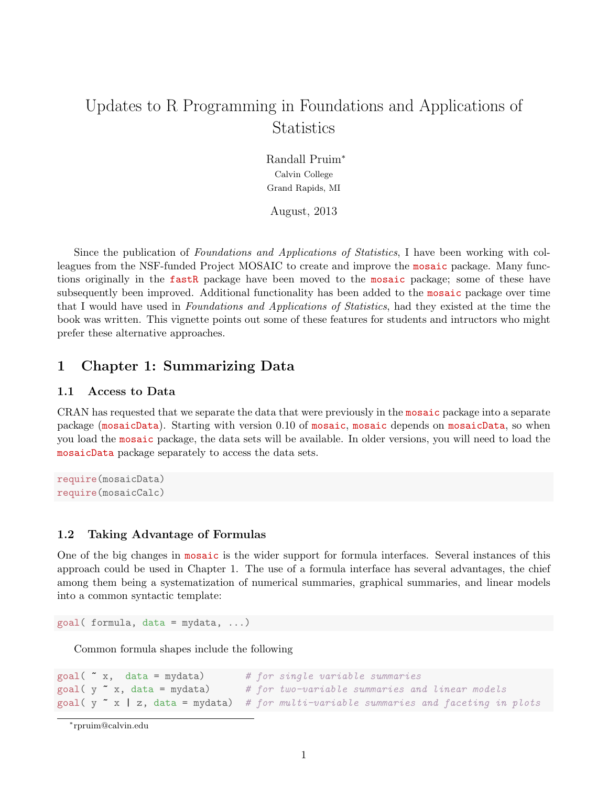# Updates to R Programming in Foundations and Applications of **Statistics**

Randall Pruim<sup>∗</sup> Calvin College Grand Rapids, MI

August, 2013

Since the publication of Foundations and Applications of Statistics, I have been working with colleagues from the NSF-funded Project MOSAIC to create and improve the mosaic package. Many functions originally in the fastR package have been moved to the mosaic package; some of these have subsequently been improved. Additional functionality has been added to the mosaic package over time that I would have used in Foundations and Applications of Statistics, had they existed at the time the book was written. This vignette points out some of these features for students and intructors who might prefer these alternative approaches.

# 1 Chapter 1: Summarizing Data

# 1.1 Access to Data

CRAN has requested that we separate the data that were previously in the mosaic package into a separate package (mosaicData). Starting with version 0.10 of mosaic, mosaic depends on mosaicData, so when you load the mosaic package, the data sets will be available. In older versions, you will need to load the mosaicData package separately to access the data sets.

```
require(mosaicData)
require(mosaicCalc)
```
# 1.2 Taking Advantage of Formulas

One of the big changes in mosaic is the wider support for formula interfaces. Several instances of this approach could be used in Chapter 1. The use of a formula interface has several advantages, the chief among them being a systematization of numerical summaries, graphical summaries, and linear models into a common syntactic template:

 $goal( formula, data = mydata, ...)$ 

Common formula shapes include the following

```
goal(' x, data = mydata) # for single variable summaries
goal(y \texttt{x}, data = mydata) # for two-variable summaries and linear models
goal( y x | z, data = mydata) # for multi-variable summaries and faceting in plots
```

```
∗
rpruim@calvin.edu
```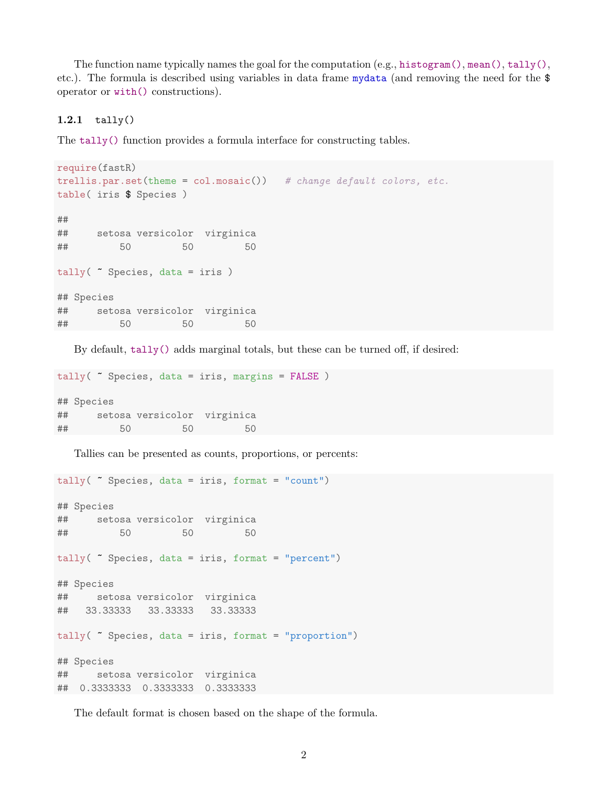The function name typically names the goal for the computation (e.g., histogram(), mean(), tally(), etc.). The formula is described using variables in data frame mydata (and removing the need for the \$ operator or with() constructions).

#### 1.2.1 tally()

The tally() function provides a formula interface for constructing tables.

```
require(fastR)
trellis.par.set(theme = col.mosaic()) # change default colors, etc.
table( iris $ Species )
##
## setosa versicolor virginica
## 50 50 50
tally( ~ Species, data = iris )
## Species
## setosa versicolor virginica
## 50 50 50
```
By default, tally() adds marginal totals, but these can be turned off, if desired:

```
tally( ~ Species, data = iris, margins = FALSE )
## Species
## setosa versicolor virginica
## 50 50 50
```
Tallies can be presented as counts, proportions, or percents:

```
tally( \tilde{\phantom{a}} Species, data = iris, format = "count")
## Species
## setosa versicolor virginica
## 50 50 50
tally( ~ Species, data = iris, format = "percent")
## Species
## setosa versicolor virginica
## 33.33333 33.33333 33.33333
tally( ~ Species, data = iris, format = "proportion")
## Species
## setosa versicolor virginica
## 0.3333333 0.3333333 0.3333333
```
The default format is chosen based on the shape of the formula.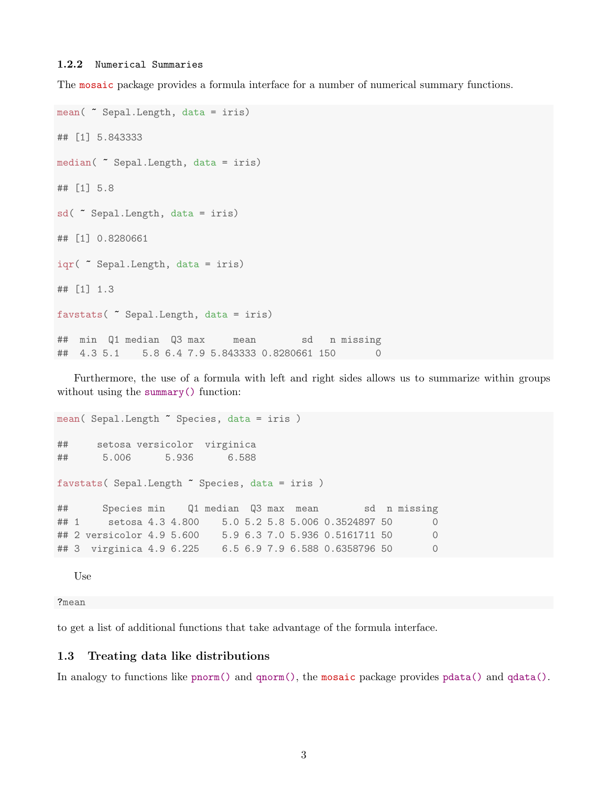#### 1.2.2 Numerical Summaries

The mosaic package provides a formula interface for a number of numerical summary functions.

```
mean( ~ Sepal.Length, data = iris)
## [1] 5.843333
median( ~ Sepal.Length, data = iris)
## [1] 5.8
sd( ~ Sepal.Length, data = iris)
## [1] 0.8280661
iqr( ~ Sepal.Length, data = iris)
## [1] 1.3
favstats( ~ Sepal.Length, data = iris)
## min Q1 median Q3 max mean sd n missing
## 4.3 5.1 5.8 6.4 7.9 5.843333 0.8280661 150 0
```
Furthermore, the use of a formula with left and right sides allows us to summarize within groups without using the summary() function:

```
mean( Sepal.Length " Species, data = iris )
## setosa versicolor virginica
## 5.006 5.936 6.588
favstats( Sepal.Length ~ Species, data = iris )
## Species min Q1 median Q3 max mean sd n missing
## 1 setosa 4.3 4.800 5.0 5.2 5.8 5.006 0.3524897 50 0
## 2 versicolor 4.9 5.600 5.9 6.3 7.0 5.936 0.5161711 50 0
## 3 virginica 4.9 6.225 6.5 6.9 7.9 6.588 0.6358796 50 0
```
Use

?mean

to get a list of additional functions that take advantage of the formula interface.

### 1.3 Treating data like distributions

In analogy to functions like pnorm() and qnorm(), the mosaic package provides pdata() and qdata().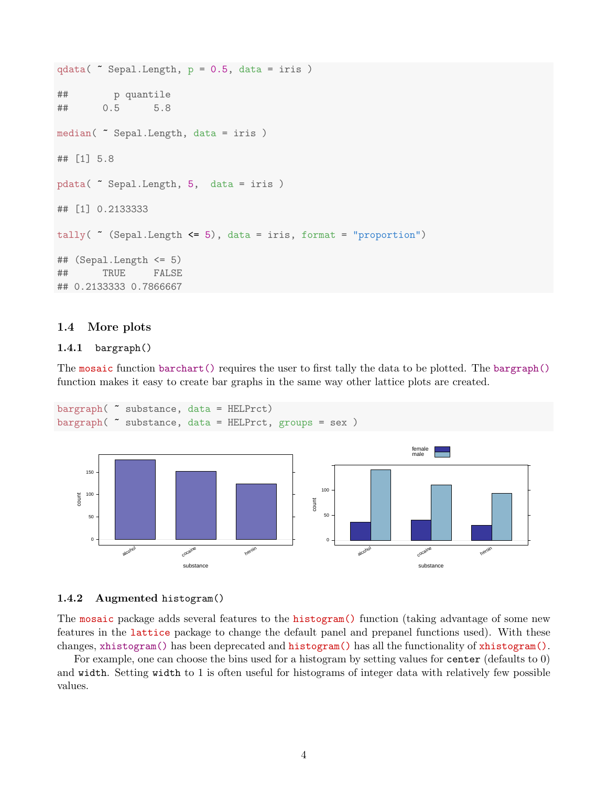```
qdata( ~ Sepal.Length, p = 0.5, data = iris )
## p quantile
## 0.5 5.8
median( ~ Sepal.Length, data = iris )
## [1] 5.8
pdata( ~ Sepal.Length, 5, data = iris )
## [1] 0.2133333
tally(\tilde{\phantom{a}} (Sepal.Length \leq 5), data = iris, format = "proportion")
## (Sepal.Length <= 5)
## TRUE FALSE
## 0.2133333 0.7866667
```
### 1.4 More plots

### 1.4.1 bargraph()

The mosaic function barchart() requires the user to first tally the data to be plotted. The bargraph() function makes it easy to create bar graphs in the same way other lattice plots are created.

```
bargraph( ~ substance, data = HELPrct)
bargraph( ~ substance, data = HELPrct, groups = sex )
```


### 1.4.2 Augmented histogram()

The mosaic package adds several features to the **histogram**() function (taking advantage of some new features in the lattice package to change the default panel and prepanel functions used). With these changes, xhistogram() has been deprecated and histogram() has all the functionality of xhistogram().

For example, one can choose the bins used for a histogram by setting values for center (defaults to 0) and width. Setting width to 1 is often useful for histograms of integer data with relatively few possible values.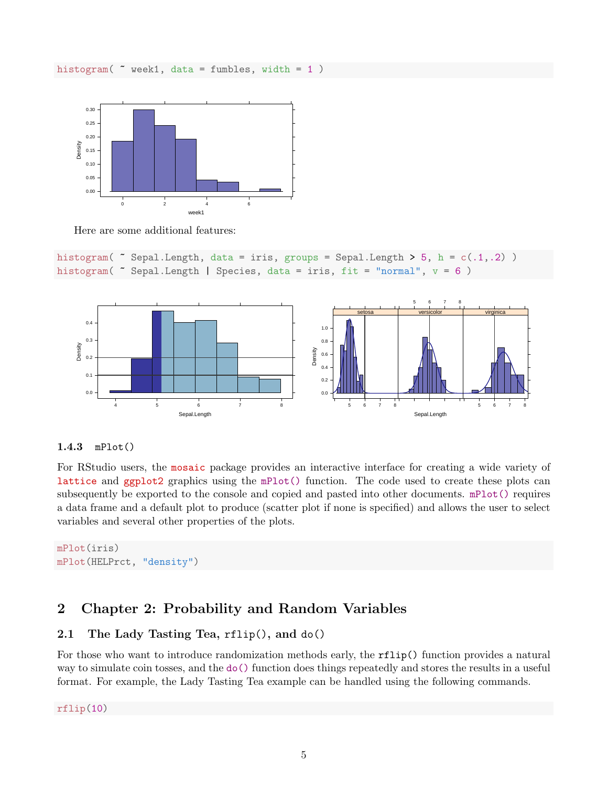histogram(  $\sim$  week1, data = fumbles, width = 1)



Here are some additional features:

```
histogram( \tilde{ } Sepal.Length, data = iris, groups = Sepal.Length > 5, h = c(.1,.2))
histogram( \tilde{ } Sepal.Length | Species, data = iris, fit = "normal", v = 6)
```


### 1.4.3 mPlot()

For RStudio users, the mosaic package provides an interactive interface for creating a wide variety of lattice and ggplot2 graphics using the mPlot() function. The code used to create these plots can subsequently be exported to the console and copied and pasted into other documents. mPlot() requires a data frame and a default plot to produce (scatter plot if none is specified) and allows the user to select variables and several other properties of the plots.

```
mPlot(iris)
mPlot(HELPrct, "density")
```
# 2 Chapter 2: Probability and Random Variables

### 2.1 The Lady Tasting Tea, rflip(), and do()

For those who want to introduce randomization methods early, the rflip() function provides a natural way to simulate coin tosses, and the do() function does things repeatedly and stores the results in a useful format. For example, the Lady Tasting Tea example can be handled using the following commands.

rflip(10)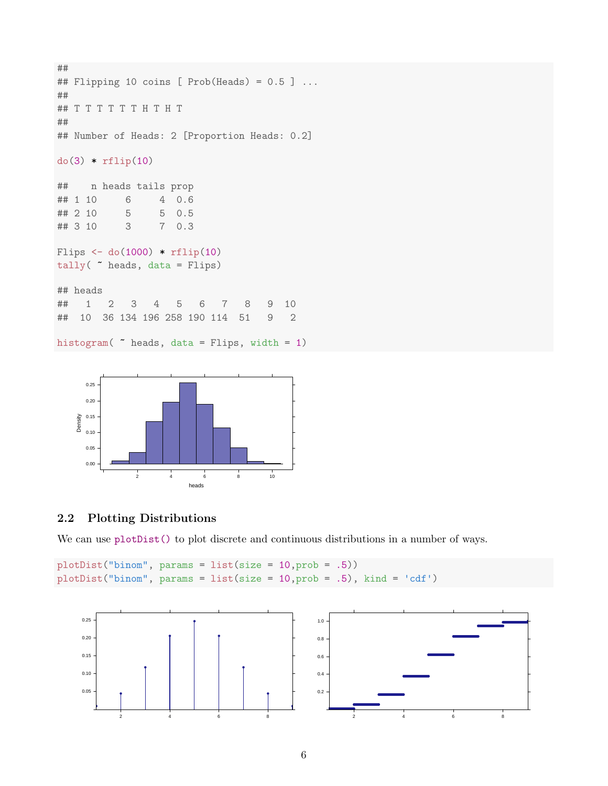```
##
## Flipping 10 coins [ Prob(Heads) = 0.5 ] ...
##
## T T T T T T H T H T
##
## Number of Heads: 2 [Proportion Heads: 0.2]
do(3) * rflip(10)## n heads tails prop
## 1 10 6 4 0.6
## 2 10 5 5 0.5
## 3 10 3 7 0.3
Flips \leftarrow do(1000) \ast rflip(10)
tally( ~ heads, data = Flips)
## heads
## 1 2 3 4 5 6 7 8 9 10
## 10 36 134 196 258 190 114 51 9 2
histogram( ~ heads, data = Flips, width = 1)
```


### 2.2 Plotting Distributions

We can use plotDist() to plot discrete and continuous distributions in a number of ways.

```
plotDist("binom", params = list(size = 10,prob = .5))
plotDist("binom", params = list(size = 10,prob = .5), kind = 'cdf')
```
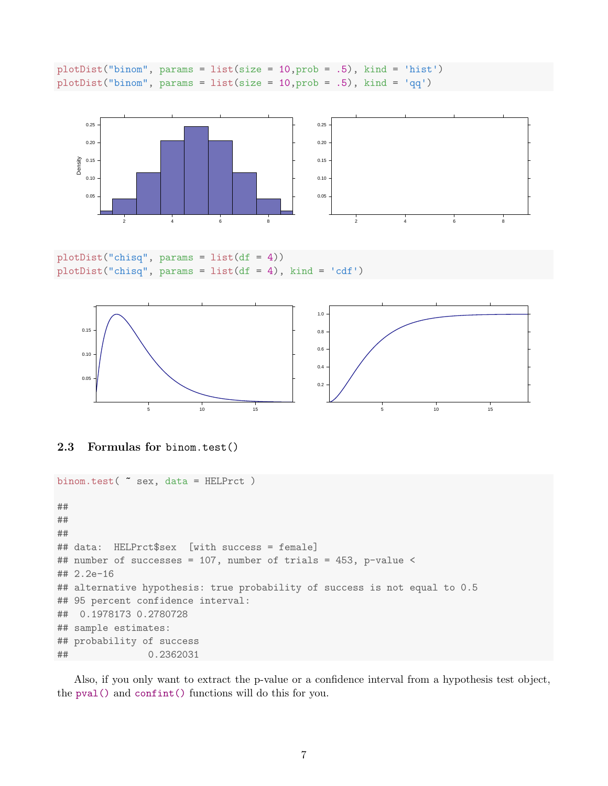plotDist("binom", params = list(size = 10,prob = .5), kind = 'hist') plotDist("binom", params = list(size = 10,prob = .5), kind = 'qq')



 $plotDist("chisq", \text{params} = list(df = 4))$ plotDist("chisq", params = list(df = 4), kind = 'cdf')





```
binom.test( ~ sex, data = HELPrct )
##
##
##
## data: HELPrct$sex [with success = female]
## number of successes = 107, number of trials = 453, p-value <
## 2.2e-16
## alternative hypothesis: true probability of success is not equal to 0.5
## 95 percent confidence interval:
## 0.1978173 0.2780728
## sample estimates:
## probability of success
## 0.2362031
```
Also, if you only want to extract the p-value or a confidence interval from a hypothesis test object, the pval() and confint() functions will do this for you.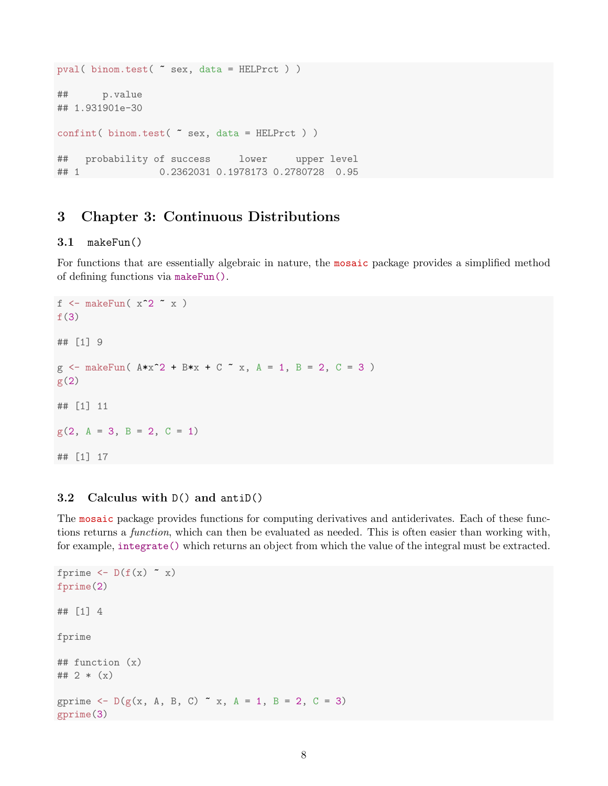```
pval( binom.test( ~ sex, data = HELPrct ) )
## p.value
## 1.931901e-30
confint( binom.test( ~ sex, data = HELPrct ) )
## probability of success lower upper level
## 1 0.2362031 0.1978173 0.2780728 0.95
```
# 3 Chapter 3: Continuous Distributions

# 3.1 makeFun()

For functions that are essentially algebraic in nature, the mosaic package provides a simplified method of defining functions via makeFun().

```
f \leq makeFun( x^2 \in x )
f(3)## [1] 9
g \le - makeFun( A*x^2 + B*x + C x, A = 1, B = 2, C = 3 )
g(2)## [1] 11
g(2, A = 3, B = 2, C = 1)## [1] 17
```
### 3.2 Calculus with D() and antiD()

The mosaic package provides functions for computing derivatives and antiderivates. Each of these functions returns a *function*, which can then be evaluated as needed. This is often easier than working with, for example, integrate() which returns an object from which the value of the integral must be extracted.

```
fprime \leftarrow D(f(x) \sim x)fprime(2)
## [1] 4
fprime
## function (x)
## 2 *(x)gprime \leq D(g(x, A, B, C) \times x, A = 1, B = 2, C = 3)gprime(3)
```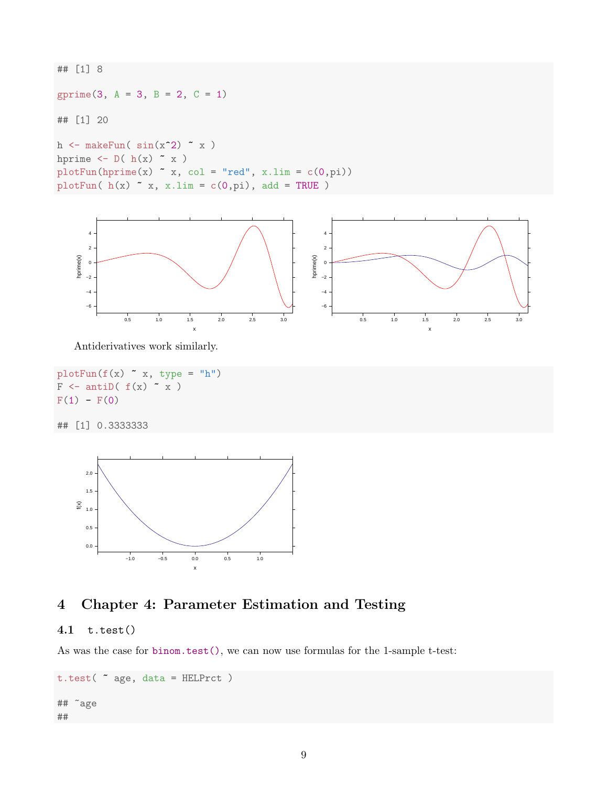## [1] 8 gprime(3,  $A = 3$ ,  $B = 2$ ,  $C = 1$ ) ## [1] 20 h  $\leftarrow$  makeFun(  $sin(x^2)$   $x$ ) hprime  $\leftarrow$  D( h(x)  $\sim$  x)  $plotFun(hprime(x) * x, col = "red", x.lim = c(0, pi))$ plotFun( $h(x)$   $x, x.lim = c(0, pi)$ , add = TRUE)



Antiderivatives work similarly.

```
plotFun(f(x) * x, type = "h")F \leftarrow antil(f(x) \sim x)F(1) - F(0)## [1] 0.3333333
```


# 4 Chapter 4: Parameter Estimation and Testing

### 4.1 t.test()

As was the case for binom.test(), we can now use formulas for the 1-sample t-test:

```
t.test( ~ age, data = HELPrct )
## ~age
##
```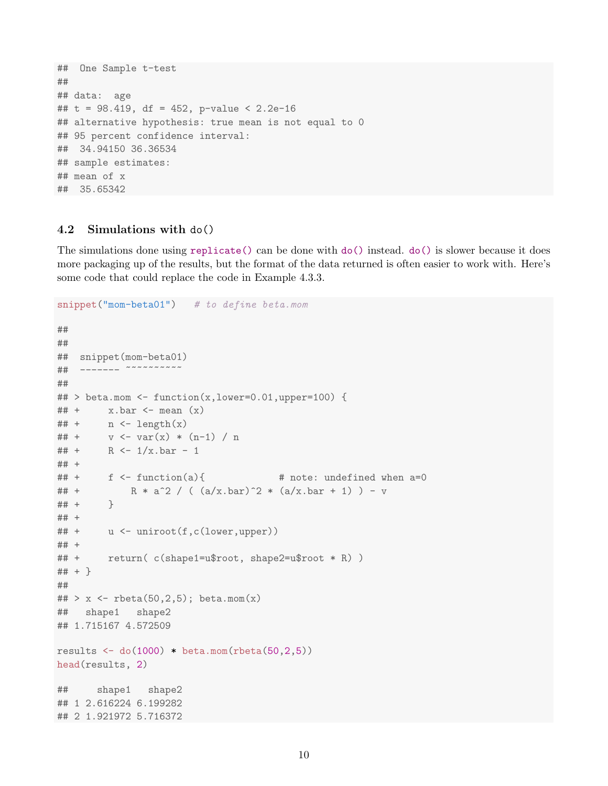```
## One Sample t-test
##
## data: age
## t = 98.419, df = 452, p-value < 2.2e-16
## alternative hypothesis: true mean is not equal to 0
## 95 percent confidence interval:
## 34.94150 36.36534
## sample estimates:
## mean of x
## 35.65342
```
### 4.2 Simulations with do()

The simulations done using replicate() can be done with do() instead. do() is slower because it does more packaging up of the results, but the format of the data returned is often easier to work with. Here's some code that could replace the code in Example 4.3.3.

```
snippet("mom-beta01") # to define beta.mom
##
##
## snippet(mom-beta01)
## ------- ~~~~~~~~~~
##
\# > beta.mom <- function(x,lower=0.01,upper=100) {
\# + x \cdot bar \leftarrow mean (x)\# + n \leq length(x)## + v \leq - \text{var}(x) * (n-1) / n## + R <- 1/x.bar - 1
## +
\# + f <- function(a){ \# note: undefined when a=0
## + R * a^2 / ( (a/x.bar)^2 * (a/x.bar + 1) ) - v
## + }
## +
## + u <- uniroot(f,c(lower,upper))
## +
## + return( c(shape1=u$root, shape2=u$root * R) )
## + }
##
## > x <- rbeta(50,2,5); beta.mom(x)
## shape1 shape2
## 1.715167 4.572509
results \leftarrow do(1000) * beta.mom(rbeta(50,2,5))
head(results, 2)
## shape1 shape2
## 1 2.616224 6.199282
## 2 1.921972 5.716372
```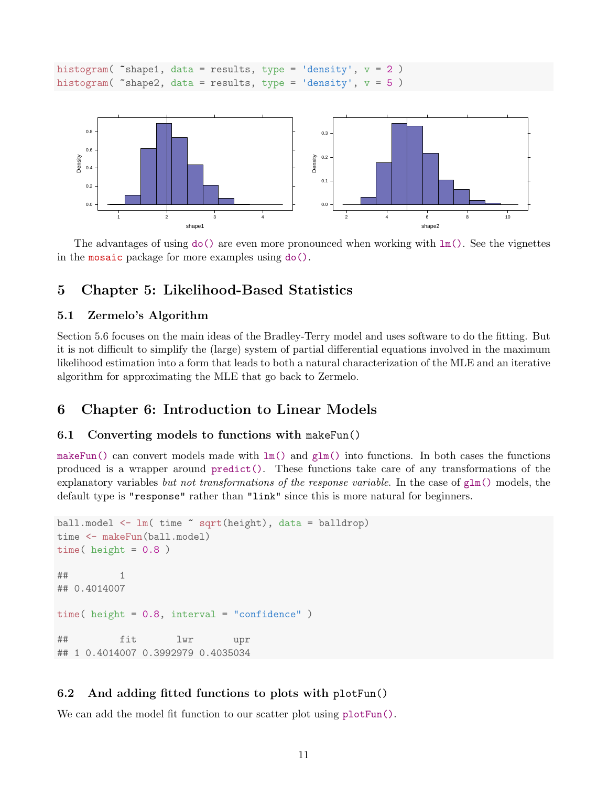```
histogram( \text{*shape1}, \text{data} = \text{results}, \text{type} = \text{'}density}, \text{v} = 2)
histogram( \text{shape2, data} = \text{results, type} = \text{density}, v = 5)
```


The advantages of using  $d\sigma$  () are even more pronounced when working with  $lm()$ . See the vignettes in the mosaic package for more examples using do().

# 5 Chapter 5: Likelihood-Based Statistics

### 5.1 Zermelo's Algorithm

Section 5.6 focuses on the main ideas of the Bradley-Terry model and uses software to do the fitting. But it is not difficult to simplify the (large) system of partial differential equations involved in the maximum likelihood estimation into a form that leads to both a natural characterization of the MLE and an iterative algorithm for approximating the MLE that go back to Zermelo.

# 6 Chapter 6: Introduction to Linear Models

### 6.1 Converting models to functions with makeFun()

makeFun() can convert models made with  $lm()$  and  $glm()$  into functions. In both cases the functions produced is a wrapper around predict(). These functions take care of any transformations of the explanatory variables but not transformations of the response variable. In the case of  $glm()$  models, the default type is "response" rather than "link" since this is more natural for beginners.

```
ball.model <- lm( time ~ sqrt(height), data = balldrop)
time <- makeFun(ball.model)
time( height = 0.8 )
## 1
## 0.4014007
time( height = 0.8, interval = "confidence")
## fit lwr upr
## 1 0.4014007 0.3992979 0.4035034
```
### 6.2 And adding fitted functions to plots with plotFun()

We can add the model fit function to our scatter plot using  $\nu$ lot Fun().